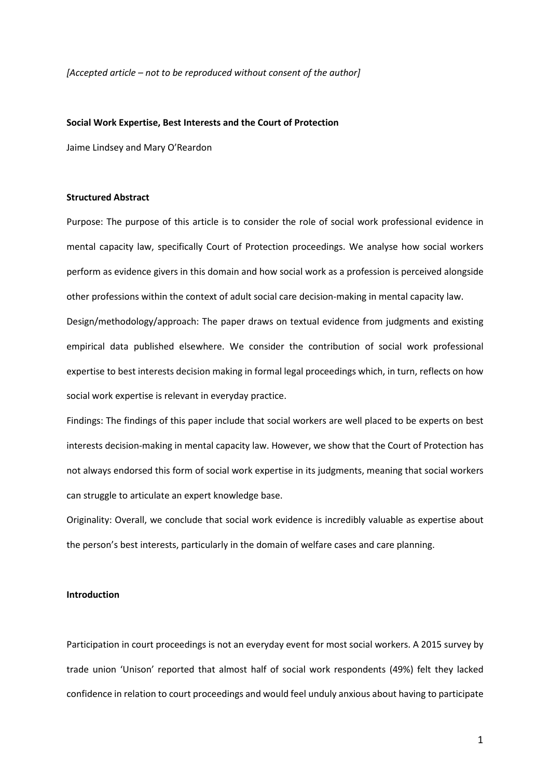*[Accepted article – not to be reproduced without consent of the author]* 

#### **Social Work Expertise, Best Interests and the Court of Protection**

Jaime Lindsey and Mary O'Reardon

# **Structured Abstract**

Purpose: The purpose of this article is to consider the role of social work professional evidence in mental capacity law, specifically Court of Protection proceedings. We analyse how social workers perform as evidence givers in this domain and how social work as a profession is perceived alongside other professions within the context of adult social care decision-making in mental capacity law.

Design/methodology/approach: The paper draws on textual evidence from judgments and existing empirical data published elsewhere. We consider the contribution of social work professional expertise to best interests decision making in formal legal proceedings which, in turn, reflects on how social work expertise is relevant in everyday practice.

Findings: The findings of this paper include that social workers are well placed to be experts on best interests decision-making in mental capacity law. However, we show that the Court of Protection has not always endorsed this form of social work expertise in its judgments, meaning that social workers can struggle to articulate an expert knowledge base.

Originality: Overall, we conclude that social work evidence is incredibly valuable as expertise about the person's best interests, particularly in the domain of welfare cases and care planning.

# **Introduction**

Participation in court proceedings is not an everyday event for most social workers. A 2015 survey by trade union 'Unison' reported that almost half of social work respondents (49%) felt they lacked confidence in relation to court proceedings and would feel unduly anxious about having to participate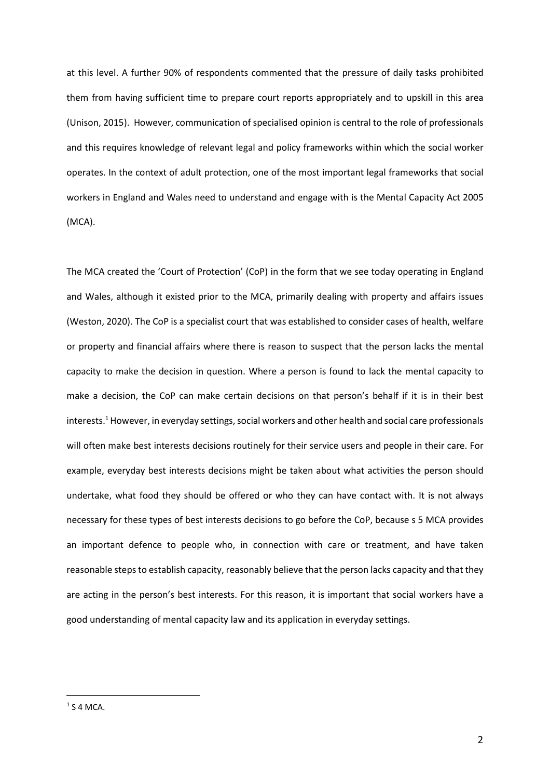at this level. A further 90% of respondents commented that the pressure of daily tasks prohibited them from having sufficient time to prepare court reports appropriately and to upskill in this area (Unison, 2015). However, communication of specialised opinion is central to the role of professionals and this requires knowledge of relevant legal and policy frameworks within which the social worker operates. In the context of adult protection, one of the most important legal frameworks that social workers in England and Wales need to understand and engage with is the Mental Capacity Act 2005 (MCA).

The MCA created the 'Court of Protection' (CoP) in the form that we see today operating in England and Wales, although it existed prior to the MCA, primarily dealing with property and affairs issues (Weston, 2020). The CoP is a specialist court that was established to consider cases of health, welfare or property and financial affairs where there is reason to suspect that the person lacks the mental capacity to make the decision in question. Where a person is found to lack the mental capacity to make a decision, the CoP can make certain decisions on that person's behalf if it is in their best interests.<sup>1</sup> However, in everyday settings, social workers and other health and social care professionals will often make best interests decisions routinely for their service users and people in their care. For example, everyday best interests decisions might be taken about what activities the person should undertake, what food they should be offered or who they can have contact with. It is not always necessary for these types of best interests decisions to go before the CoP, because s 5 MCA provides an important defence to people who, in connection with care or treatment, and have taken reasonable steps to establish capacity, reasonably believe that the person lacks capacity and that they are acting in the person's best interests. For this reason, it is important that social workers have a good understanding of mental capacity law and its application in everyday settings.

 $1$  S 4 MCA.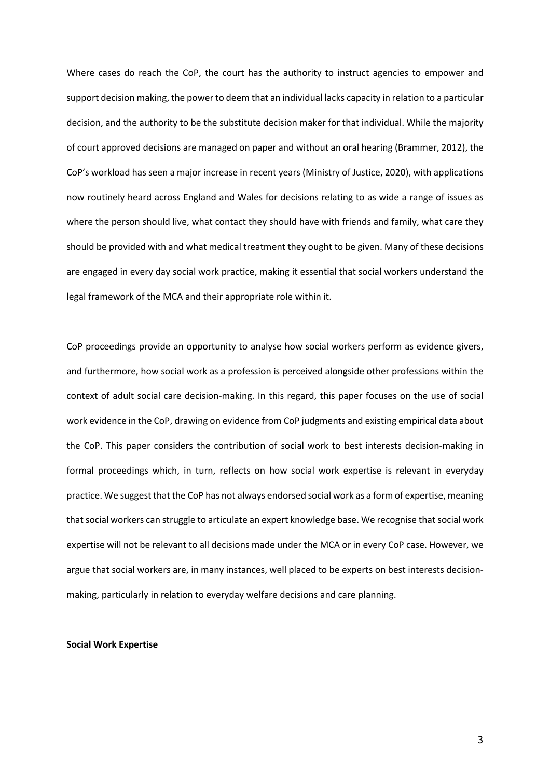Where cases do reach the CoP, the court has the authority to instruct agencies to empower and support decision making, the power to deem that an individual lacks capacity in relation to a particular decision, and the authority to be the substitute decision maker for that individual. While the majority of court approved decisions are managed on paper and without an oral hearing (Brammer, 2012), the CoP's workload has seen a major increase in recent years (Ministry of Justice, 2020), with applications now routinely heard across England and Wales for decisions relating to as wide a range of issues as where the person should live, what contact they should have with friends and family, what care they should be provided with and what medical treatment they ought to be given. Many of these decisions are engaged in every day social work practice, making it essential that social workers understand the legal framework of the MCA and their appropriate role within it.

CoP proceedings provide an opportunity to analyse how social workers perform as evidence givers, and furthermore, how social work as a profession is perceived alongside other professions within the context of adult social care decision-making. In this regard, this paper focuses on the use of social work evidence in the CoP, drawing on evidence from CoP judgments and existing empirical data about the CoP. This paper considers the contribution of social work to best interests decision-making in formal proceedings which, in turn, reflects on how social work expertise is relevant in everyday practice. We suggest that the CoP has not always endorsed social work as a form of expertise, meaning that social workers can struggle to articulate an expert knowledge base. We recognise that social work expertise will not be relevant to all decisions made under the MCA or in every CoP case. However, we argue that social workers are, in many instances, well placed to be experts on best interests decisionmaking, particularly in relation to everyday welfare decisions and care planning.

## **Social Work Expertise**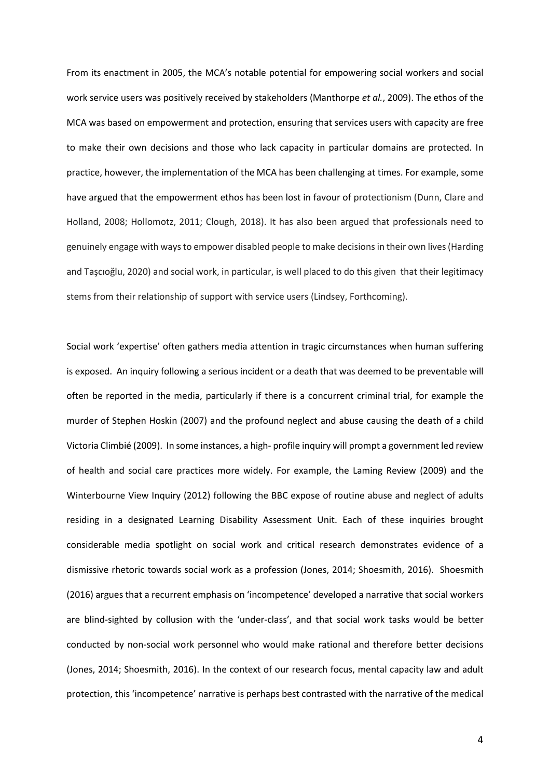From its enactment in 2005, the MCA's notable potential for empowering social workers and social work service users was positively received by stakeholders (Manthorpe *et al.*, 2009). The ethos of the MCA was based on empowerment and protection, ensuring that services users with capacity are free to make their own decisions and those who lack capacity in particular domains are protected. In practice, however, the implementation of the MCA has been challenging at times. For example, some have argued that the empowerment ethos has been lost in favour of protectionism (Dunn, Clare and Holland, 2008; Hollomotz, 2011; Clough, 2018). It has also been argued that professionals need to genuinely engage with ways to empower disabled people to make decisions in their own lives (Harding and Taşcıoğlu, 2020) and social work, in particular, is well placed to do this given that their legitimacy stems from their relationship of support with service users (Lindsey, Forthcoming).

Social work 'expertise' often gathers media attention in tragic circumstances when human suffering is exposed. An inquiry following a serious incident or a death that was deemed to be preventable will often be reported in the media, particularly if there is a concurrent criminal trial, for example the murder of Stephen Hoskin (2007) and the profound neglect and abuse causing the death of a child Victoria Climbié (2009). In some instances, a high- profile inquiry will prompt a government led review of health and social care practices more widely. For example, the Laming Review (2009) and the Winterbourne View Inquiry (2012) following the BBC expose of routine abuse and neglect of adults residing in a designated Learning Disability Assessment Unit. Each of these inquiries brought considerable media spotlight on social work and critical research demonstrates evidence of a dismissive rhetoric towards social work as a profession (Jones, 2014; Shoesmith, 2016). Shoesmith (2016) argues that a recurrent emphasis on 'incompetence' developed a narrative that social workers are blind-sighted by collusion with the 'under-class', and that social work tasks would be better conducted by non-social work personnel who would make rational and therefore better decisions (Jones, 2014; Shoesmith, 2016). In the context of our research focus, mental capacity law and adult protection, this 'incompetence' narrative is perhaps best contrasted with the narrative of the medical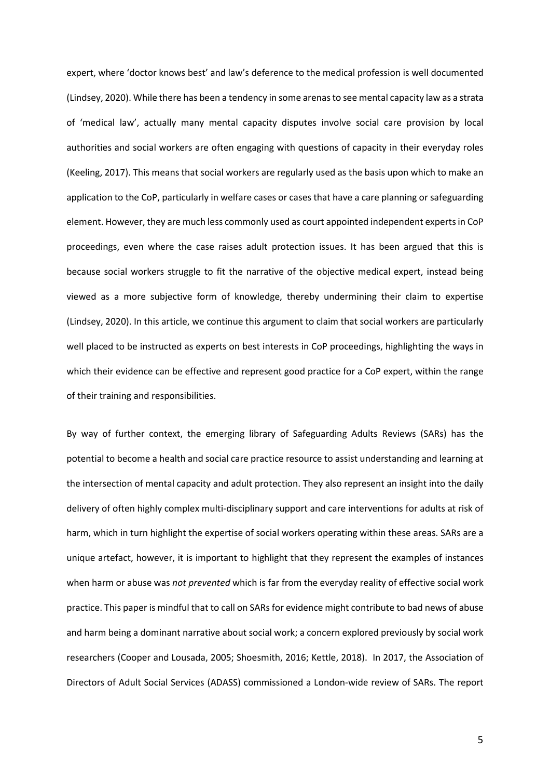expert, where 'doctor knows best' and law's deference to the medical profession is well documented (Lindsey, 2020). While there has been a tendency in some arenas to see mental capacity law as a strata of 'medical law', actually many mental capacity disputes involve social care provision by local authorities and social workers are often engaging with questions of capacity in their everyday roles (Keeling, 2017). This means that social workers are regularly used as the basis upon which to make an application to the CoP, particularly in welfare cases or cases that have a care planning or safeguarding element. However, they are much less commonly used as court appointed independent experts in CoP proceedings, even where the case raises adult protection issues. It has been argued that this is because social workers struggle to fit the narrative of the objective medical expert, instead being viewed as a more subjective form of knowledge, thereby undermining their claim to expertise (Lindsey, 2020). In this article, we continue this argument to claim that social workers are particularly well placed to be instructed as experts on best interests in CoP proceedings, highlighting the ways in which their evidence can be effective and represent good practice for a CoP expert, within the range of their training and responsibilities.

By way of further context, the emerging library of Safeguarding Adults Reviews (SARs) has the potential to become a health and social care practice resource to assist understanding and learning at the intersection of mental capacity and adult protection. They also represent an insight into the daily delivery of often highly complex multi-disciplinary support and care interventions for adults at risk of harm, which in turn highlight the expertise of social workers operating within these areas. SARs are a unique artefact, however, it is important to highlight that they represent the examples of instances when harm or abuse was *not prevented* which is far from the everyday reality of effective social work practice. This paper is mindful that to call on SARs for evidence might contribute to bad news of abuse and harm being a dominant narrative about social work; a concern explored previously by social work researchers (Cooper and Lousada, 2005; Shoesmith, 2016; Kettle, 2018). In 2017, the Association of Directors of Adult Social Services (ADASS) commissioned a London-wide review of SARs. The report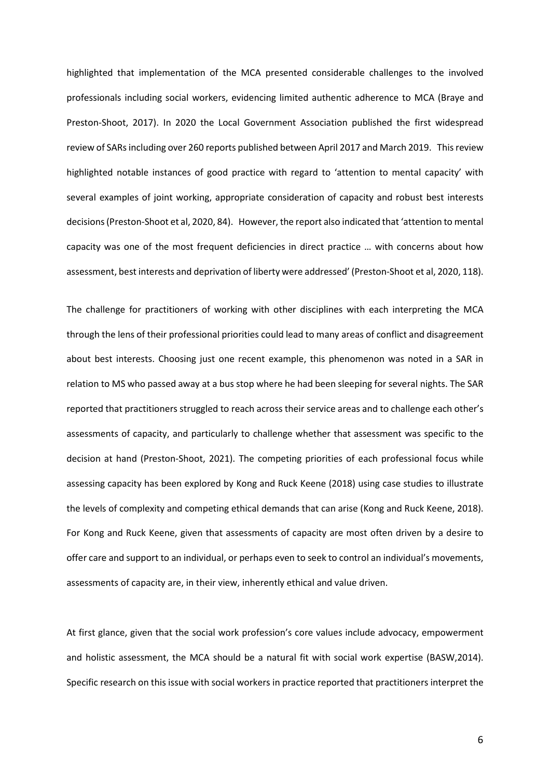highlighted that implementation of the MCA presented considerable challenges to the involved professionals including social workers, evidencing limited authentic adherence to MCA (Braye and Preston-Shoot, 2017). In 2020 the Local Government Association published the first widespread review of SARs including over 260 reports published between April 2017 and March 2019. This review highlighted notable instances of good practice with regard to 'attention to mental capacity' with several examples of joint working, appropriate consideration of capacity and robust best interests decisions (Preston-Shoot et al, 2020, 84). However, the report also indicated that 'attention to mental capacity was one of the most frequent deficiencies in direct practice … with concerns about how assessment, best interests and deprivation of liberty were addressed' (Preston-Shoot et al, 2020, 118).

The challenge for practitioners of working with other disciplines with each interpreting the MCA through the lens of their professional priorities could lead to many areas of conflict and disagreement about best interests. Choosing just one recent example, this phenomenon was noted in a SAR in relation to MS who passed away at a bus stop where he had been sleeping for several nights. The SAR reported that practitioners struggled to reach across their service areas and to challenge each other's assessments of capacity, and particularly to challenge whether that assessment was specific to the decision at hand (Preston-Shoot, 2021). The competing priorities of each professional focus while assessing capacity has been explored by Kong and Ruck Keene (2018) using case studies to illustrate the levels of complexity and competing ethical demands that can arise (Kong and Ruck Keene, 2018). For Kong and Ruck Keene, given that assessments of capacity are most often driven by a desire to offer care and support to an individual, or perhaps even to seek to control an individual's movements, assessments of capacity are, in their view, inherently ethical and value driven.

At first glance, given that the social work profession's core values include advocacy, empowerment and holistic assessment, the MCA should be a natural fit with social work expertise (BASW,2014). Specific research on this issue with social workers in practice reported that practitioners interpret the

6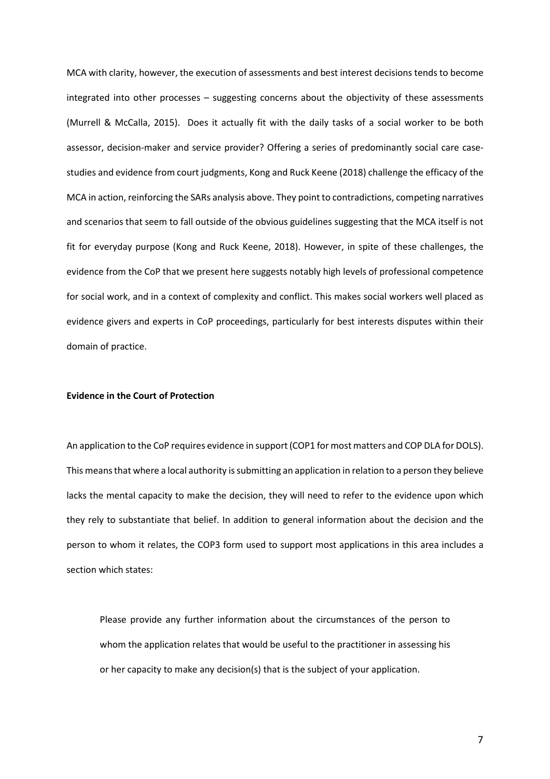MCA with clarity, however, the execution of assessments and best interest decisions tends to become integrated into other processes – suggesting concerns about the objectivity of these assessments (Murrell & McCalla, 2015). Does it actually fit with the daily tasks of a social worker to be both assessor, decision-maker and service provider? Offering a series of predominantly social care casestudies and evidence from court judgments, Kong and Ruck Keene (2018) challenge the efficacy of the MCA in action, reinforcing the SARs analysis above. They point to contradictions, competing narratives and scenarios that seem to fall outside of the obvious guidelines suggesting that the MCA itself is not fit for everyday purpose (Kong and Ruck Keene, 2018). However, in spite of these challenges, the evidence from the CoP that we present here suggests notably high levels of professional competence for social work, and in a context of complexity and conflict. This makes social workers well placed as evidence givers and experts in CoP proceedings, particularly for best interests disputes within their domain of practice.

### **Evidence in the Court of Protection**

An application to the CoP requires evidence in support (COP1 for most matters and COP DLA for DOLS). This means that where a local authority is submitting an application in relation to a person they believe lacks the mental capacity to make the decision, they will need to refer to the evidence upon which they rely to substantiate that belief. In addition to general information about the decision and the person to whom it relates, the COP3 form used to support most applications in this area includes a section which states:

Please provide any further information about the circumstances of the person to whom the application relates that would be useful to the practitioner in assessing his or her capacity to make any decision(s) that is the subject of your application.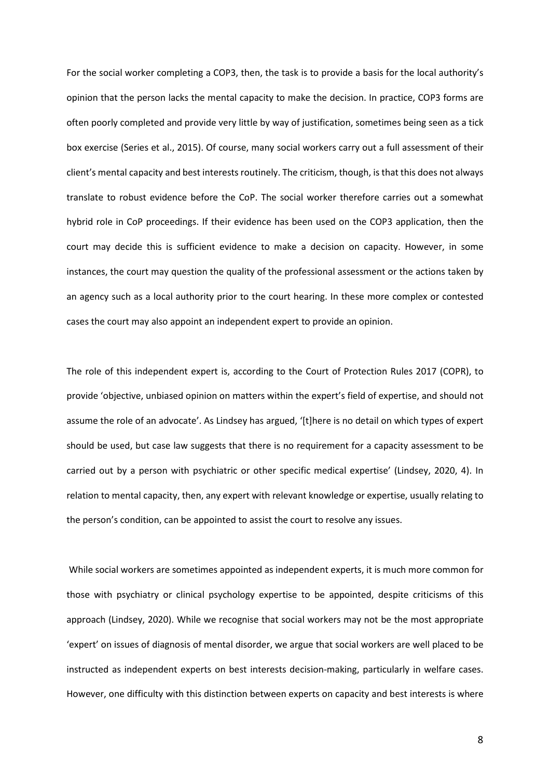For the social worker completing a COP3, then, the task is to provide a basis for the local authority's opinion that the person lacks the mental capacity to make the decision. In practice, COP3 forms are often poorly completed and provide very little by way of justification, sometimes being seen as a tick box exercise (Series et al., 2015). Of course, many social workers carry out a full assessment of their client's mental capacity and best interests routinely. The criticism, though, is that this does not always translate to robust evidence before the CoP. The social worker therefore carries out a somewhat hybrid role in CoP proceedings. If their evidence has been used on the COP3 application, then the court may decide this is sufficient evidence to make a decision on capacity. However, in some instances, the court may question the quality of the professional assessment or the actions taken by an agency such as a local authority prior to the court hearing. In these more complex or contested cases the court may also appoint an independent expert to provide an opinion.

The role of this independent expert is, according to the Court of Protection Rules 2017 (COPR), to provide 'objective, unbiased opinion on matters within the expert's field of expertise, and should not assume the role of an advocate'. As Lindsey has argued, '[t]here is no detail on which types of expert should be used, but case law suggests that there is no requirement for a capacity assessment to be carried out by a person with psychiatric or other specific medical expertise' (Lindsey, 2020, 4). In relation to mental capacity, then, any expert with relevant knowledge or expertise, usually relating to the person's condition, can be appointed to assist the court to resolve any issues.

 While social workers are sometimes appointed as independent experts, it is much more common for those with psychiatry or clinical psychology expertise to be appointed, despite criticisms of this approach (Lindsey, 2020). While we recognise that social workers may not be the most appropriate 'expert' on issues of diagnosis of mental disorder, we argue that social workers are well placed to be instructed as independent experts on best interests decision-making, particularly in welfare cases. However, one difficulty with this distinction between experts on capacity and best interests is where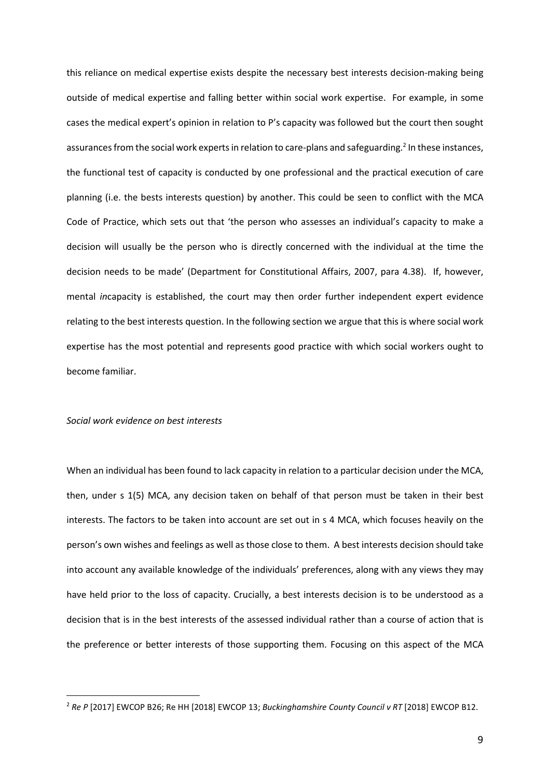this reliance on medical expertise exists despite the necessary best interests decision-making being outside of medical expertise and falling better within social work expertise. For example, in some cases the medical expert's opinion in relation to P's capacity was followed but the court then sought assurances from the social work experts in relation to care-plans and safeguarding.<sup>2</sup> In these instances, the functional test of capacity is conducted by one professional and the practical execution of care planning (i.e. the bests interests question) by another. This could be seen to conflict with the MCA Code of Practice, which sets out that 'the person who assesses an individual's capacity to make a decision will usually be the person who is directly concerned with the individual at the time the decision needs to be made' (Department for Constitutional Affairs, 2007, para 4.38). If, however, mental *in*capacity is established, the court may then order further independent expert evidence relating to the best interests question. In the following section we argue that this is where social work expertise has the most potential and represents good practice with which social workers ought to become familiar.

# *Social work evidence on best interests*

When an individual has been found to lack capacity in relation to a particular decision under the MCA, then, under s 1(5) MCA, any decision taken on behalf of that person must be taken in their best interests. The factors to be taken into account are set out in s 4 MCA, which focuses heavily on the person's own wishes and feelings as well as those close to them. A best interests decision should take into account any available knowledge of the individuals' preferences, along with any views they may have held prior to the loss of capacity. Crucially, a best interests decision is to be understood as a decision that is in the best interests of the assessed individual rather than a course of action that is the preference or better interests of those supporting them. Focusing on this aspect of the MCA

<sup>2</sup> *Re P* [2017] EWCOP B26; Re HH [2018] EWCOP 13; *Buckinghamshire County Council v RT* [2018] EWCOP B12.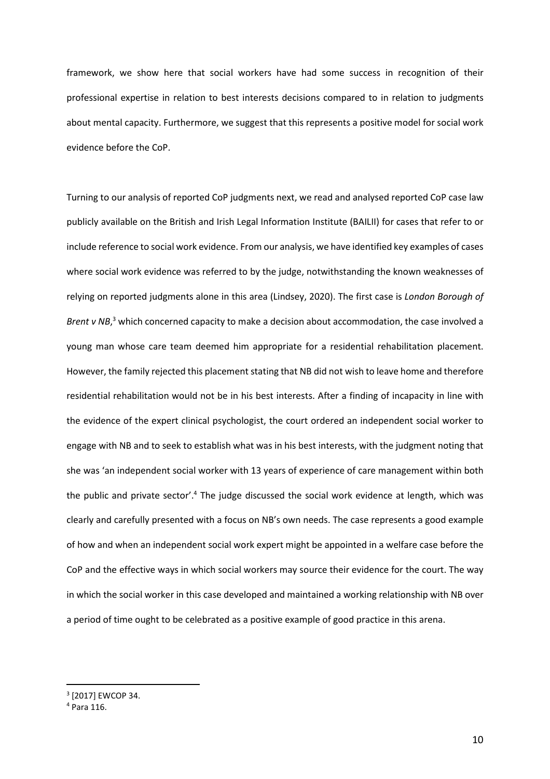framework, we show here that social workers have had some success in recognition of their professional expertise in relation to best interests decisions compared to in relation to judgments about mental capacity. Furthermore, we suggest that this represents a positive model for social work evidence before the CoP.

Turning to our analysis of reported CoP judgments next, we read and analysed reported CoP case law publicly available on the British and Irish Legal Information Institute (BAILII) for cases that refer to or include reference to social work evidence. From our analysis, we have identified key examples of cases where social work evidence was referred to by the judge, notwithstanding the known weaknesses of relying on reported judgments alone in this area (Lindsey, 2020). The first case is *London Borough of*  Brent v NB,<sup>3</sup> which concerned capacity to make a decision about accommodation, the case involved a young man whose care team deemed him appropriate for a residential rehabilitation placement. However, the family rejected this placement stating that NB did not wish to leave home and therefore residential rehabilitation would not be in his best interests. After a finding of incapacity in line with the evidence of the expert clinical psychologist, the court ordered an independent social worker to engage with NB and to seek to establish what was in his best interests, with the judgment noting that she was 'an independent social worker with 13 years of experience of care management within both the public and private sector'.<sup>4</sup> The judge discussed the social work evidence at length, which was clearly and carefully presented with a focus on NB's own needs. The case represents a good example of how and when an independent social work expert might be appointed in a welfare case before the CoP and the effective ways in which social workers may source their evidence for the court. The way in which the social worker in this case developed and maintained a working relationship with NB over a period of time ought to be celebrated as a positive example of good practice in this arena.

<sup>3</sup> [2017] EWCOP 34.

<sup>4</sup> Para 116.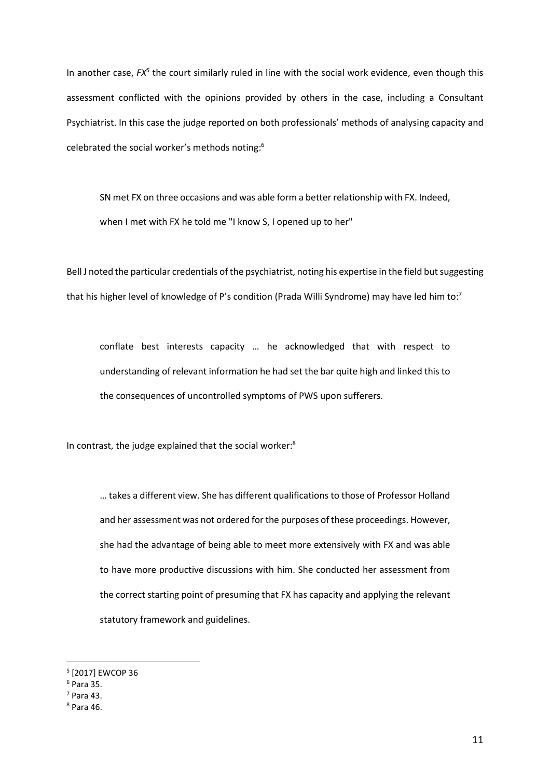In another case,  $FX^5$  the court similarly ruled in line with the social work evidence, even though this assessment conflicted with the opinions provided by others in the case, including a Consultant Psychiatrist. In this case the judge reported on both professionals' methods of analysing capacity and celebrated the social worker's methods noting:<sup>6</sup>

SN met FX on three occasions and was able form a better relationship with FX. Indeed, when I met with FX he told me "I know S, I opened up to her"

Bell J noted the particular credentials of the psychiatrist, noting his expertise in the field but suggesting that his higher level of knowledge of P's condition (Prada Willi Syndrome) may have led him to:<sup>7</sup>

conflate best interests capacity … he acknowledged that with respect to understanding of relevant information he had set the bar quite high and linked this to the consequences of uncontrolled symptoms of PWS upon sufferers.

In contrast, the judge explained that the social worker:<sup>8</sup>

… takes a different view. She has different qualifications to those of Professor Holland and her assessment was not ordered for the purposes of these proceedings. However, she had the advantage of being able to meet more extensively with FX and was able to have more productive discussions with him. She conducted her assessment from the correct starting point of presuming that FX has capacity and applying the relevant statutory framework and guidelines.

<sup>5</sup> [2017] EWCOP 36

<sup>6</sup> Para 35.

<sup>7</sup> Para 43.

<sup>8</sup> Para 46.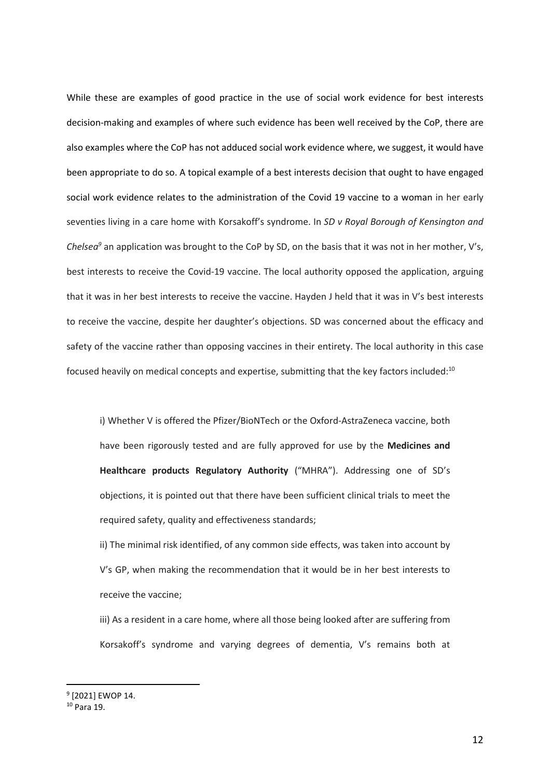While these are examples of good practice in the use of social work evidence for best interests decision-making and examples of where such evidence has been well received by the CoP, there are also examples where the CoP has not adduced social work evidence where, we suggest, it would have been appropriate to do so. A topical example of a best interests decision that ought to have engaged social work evidence relates to the administration of the Covid 19 vaccine to a woman in her early seventies living in a care home with Korsakoff's syndrome. In *SD v Royal Borough of Kensington and Chelsea<sup>9</sup>* an application was brought to the CoP by SD, on the basis that it was not in her mother, V's, best interests to receive the Covid-19 vaccine. The local authority opposed the application, arguing that it was in her best interests to receive the vaccine. Hayden J held that it was in V's best interests to receive the vaccine, despite her daughter's objections. SD was concerned about the efficacy and safety of the vaccine rather than opposing vaccines in their entirety. The local authority in this case focused heavily on medical concepts and expertise, submitting that the key factors included:<sup>10</sup>

i) Whether V is offered the Pfizer/BioNTech or the Oxford-AstraZeneca vaccine, both have been rigorously tested and are fully approved for use by the **Medicines and Healthcare products Regulatory Authority** ("MHRA"). Addressing one of SD's objections, it is pointed out that there have been sufficient clinical trials to meet the required safety, quality and effectiveness standards;

ii) The minimal risk identified, of any common side effects, was taken into account by V's GP, when making the recommendation that it would be in her best interests to receive the vaccine;

iii) As a resident in a care home, where all those being looked after are suffering from Korsakoff's syndrome and varying degrees of dementia, V's remains both at

<sup>&</sup>lt;sup>9</sup> [2021] EWOP 14.

<sup>10</sup> Para 19.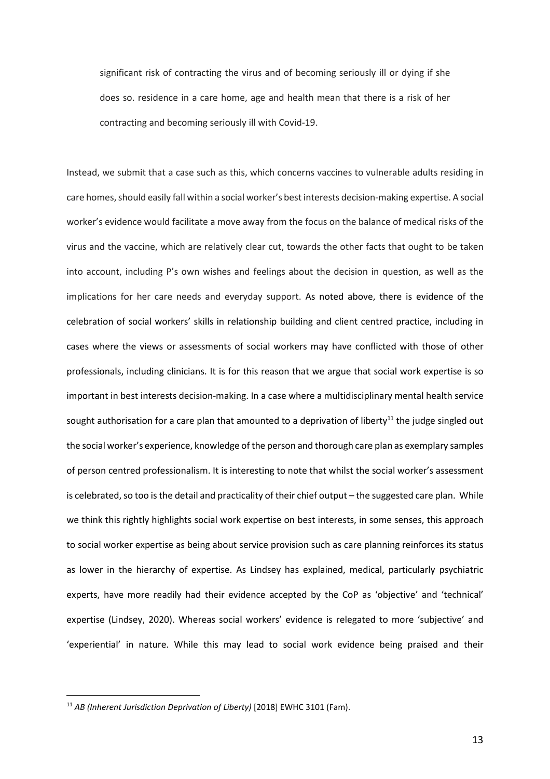significant risk of contracting the virus and of becoming seriously ill or dying if she does so. residence in a care home, age and health mean that there is a risk of her contracting and becoming seriously ill with Covid-19.

Instead, we submit that a case such as this, which concerns vaccines to vulnerable adults residing in care homes, should easily fall within a social worker's best interests decision-making expertise. A social worker's evidence would facilitate a move away from the focus on the balance of medical risks of the virus and the vaccine, which are relatively clear cut, towards the other facts that ought to be taken into account, including P's own wishes and feelings about the decision in question, as well as the implications for her care needs and everyday support. As noted above, there is evidence of the celebration of social workers' skills in relationship building and client centred practice, including in cases where the views or assessments of social workers may have conflicted with those of other professionals, including clinicians. It is for this reason that we argue that social work expertise is so important in best interests decision-making. In a case where a multidisciplinary mental health service sought authorisation for a care plan that amounted to a deprivation of liberty<sup>11</sup> the judge singled out the social worker's experience, knowledge of the person and thorough care plan as exemplary samples of person centred professionalism. It is interesting to note that whilst the social worker's assessment is celebrated, so too is the detail and practicality of their chief output – the suggested care plan. While we think this rightly highlights social work expertise on best interests, in some senses, this approach to social worker expertise as being about service provision such as care planning reinforces its status as lower in the hierarchy of expertise. As Lindsey has explained, medical, particularly psychiatric experts, have more readily had their evidence accepted by the CoP as 'objective' and 'technical' expertise (Lindsey, 2020). Whereas social workers' evidence is relegated to more 'subjective' and 'experiential' in nature. While this may lead to social work evidence being praised and their

13

<sup>11</sup> *AB (Inherent Jurisdiction Deprivation of Liberty)* [2018] EWHC 3101 (Fam).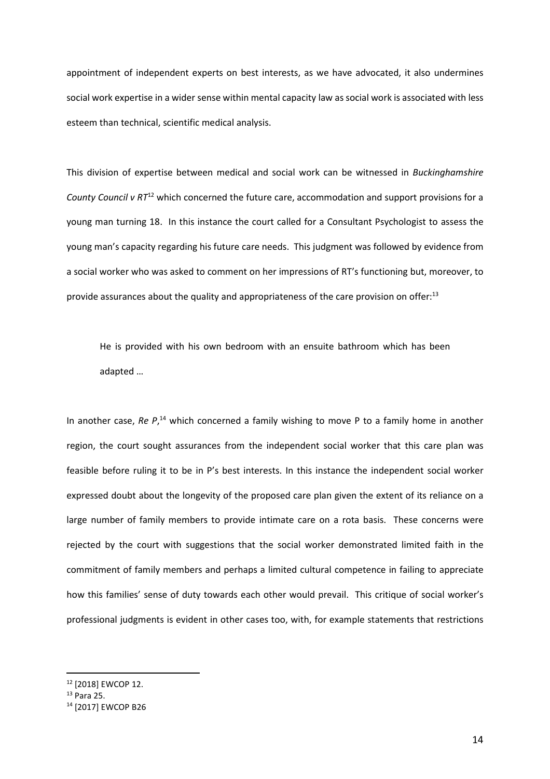appointment of independent experts on best interests, as we have advocated, it also undermines social work expertise in a wider sense within mental capacity law as social work is associated with less esteem than technical, scientific medical analysis.

This division of expertise between medical and social work can be witnessed in *Buckinghamshire County Council v RT*<sup>12</sup> which concerned the future care, accommodation and support provisions for a young man turning 18. In this instance the court called for a Consultant Psychologist to assess the young man's capacity regarding his future care needs. This judgment was followed by evidence from a social worker who was asked to comment on her impressions of RT's functioning but, moreover, to provide assurances about the quality and appropriateness of the care provision on offer: $13$ 

He is provided with his own bedroom with an ensuite bathroom which has been adapted …

In another case, Re P,<sup>14</sup> which concerned a family wishing to move P to a family home in another region, the court sought assurances from the independent social worker that this care plan was feasible before ruling it to be in P's best interests. In this instance the independent social worker expressed doubt about the longevity of the proposed care plan given the extent of its reliance on a large number of family members to provide intimate care on a rota basis. These concerns were rejected by the court with suggestions that the social worker demonstrated limited faith in the commitment of family members and perhaps a limited cultural competence in failing to appreciate how this families' sense of duty towards each other would prevail. This critique of social worker's professional judgments is evident in other cases too, with, for example statements that restrictions

<sup>12</sup> [2018] EWCOP 12.

<sup>13</sup> Para 25.

<sup>14</sup> [2017] EWCOP B26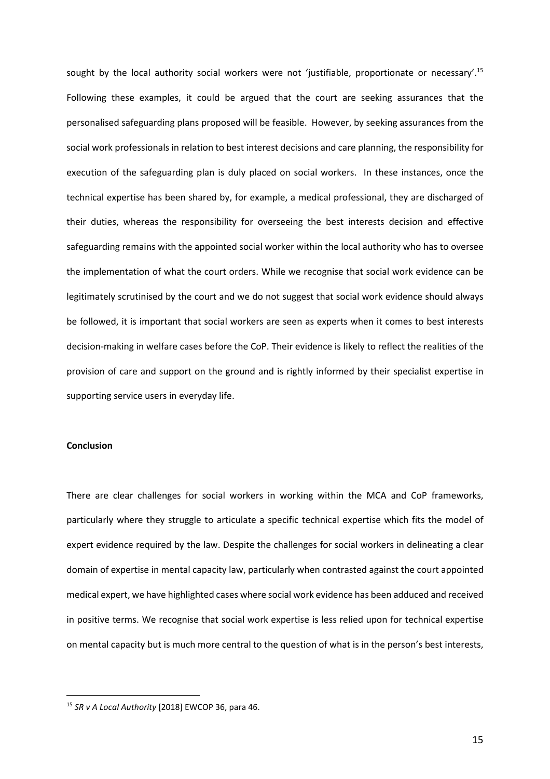sought by the local authority social workers were not 'justifiable, proportionate or necessary'.<sup>15</sup> Following these examples, it could be argued that the court are seeking assurances that the personalised safeguarding plans proposed will be feasible. However, by seeking assurances from the social work professionals in relation to best interest decisions and care planning, the responsibility for execution of the safeguarding plan is duly placed on social workers. In these instances, once the technical expertise has been shared by, for example, a medical professional, they are discharged of their duties, whereas the responsibility for overseeing the best interests decision and effective safeguarding remains with the appointed social worker within the local authority who has to oversee the implementation of what the court orders. While we recognise that social work evidence can be legitimately scrutinised by the court and we do not suggest that social work evidence should always be followed, it is important that social workers are seen as experts when it comes to best interests decision-making in welfare cases before the CoP. Their evidence is likely to reflect the realities of the provision of care and support on the ground and is rightly informed by their specialist expertise in supporting service users in everyday life.

# **Conclusion**

There are clear challenges for social workers in working within the MCA and CoP frameworks, particularly where they struggle to articulate a specific technical expertise which fits the model of expert evidence required by the law. Despite the challenges for social workers in delineating a clear domain of expertise in mental capacity law, particularly when contrasted against the court appointed medical expert, we have highlighted cases where social work evidence has been adduced and received in positive terms. We recognise that social work expertise is less relied upon for technical expertise on mental capacity but is much more central to the question of what is in the person's best interests,

<sup>15</sup> *SR v A Local Authority* [2018] EWCOP 36, para 46.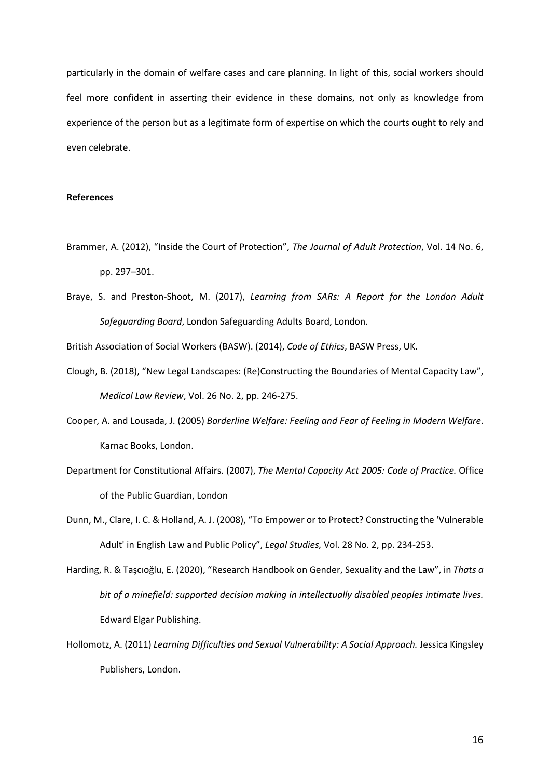particularly in the domain of welfare cases and care planning. In light of this, social workers should feel more confident in asserting their evidence in these domains, not only as knowledge from experience of the person but as a legitimate form of expertise on which the courts ought to rely and even celebrate.

# **References**

- Brammer, A. (2012), "Inside the Court of Protection", *The Journal of Adult Protection*, Vol. 14 No. 6, pp. 297–301.
- Braye, S. and Preston-Shoot, M. (2017), *Learning from SARs: A Report for the London Adult Safeguarding Board*, London Safeguarding Adults Board, London.

British Association of Social Workers (BASW). (2014), *Code of Ethics*, BASW Press, UK.

- Clough, B. (2018), "New Legal Landscapes: (Re)Constructing the Boundaries of Mental Capacity Law", *Medical Law Review*, Vol. 26 No. 2, pp. 246-275.
- Cooper, A. and Lousada, J. (2005) *Borderline Welfare: Feeling and Fear of Feeling in Modern Welfare*. Karnac Books, London.
- Department for Constitutional Affairs. (2007), *The Mental Capacity Act 2005: Code of Practice.* Office of the Public Guardian, London
- Dunn, M., Clare, I. C. & Holland, A. J. (2008), "To Empower or to Protect? Constructing the 'Vulnerable Adult' in English Law and Public Policy", *Legal Studies,* Vol. 28 No. 2, pp. 234-253.
- Harding, R. & Taşcıoğlu, E. (2020), "Research Handbook on Gender, Sexuality and the Law", in *Thats a bit of a minefield: supported decision making in intellectually disabled peoples intimate lives.* Edward Elgar Publishing.
- Hollomotz, A. (2011) *Learning Difficulties and Sexual Vulnerability: A Social Approach.* Jessica Kingsley Publishers, London.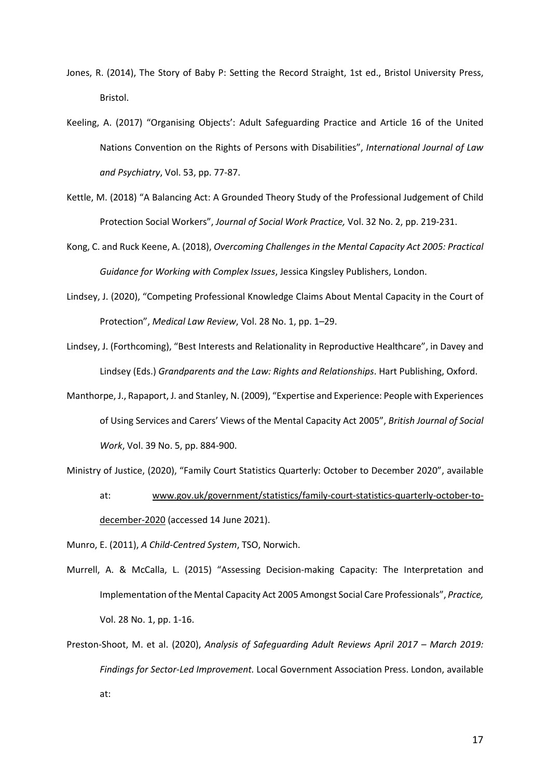- Jones, R. (2014), The Story of Baby P: Setting the Record Straight, 1st ed., Bristol University Press, Bristol.
- Keeling, A. (2017) "Organising Objects': Adult Safeguarding Practice and Article 16 of the United Nations Convention on the Rights of Persons with Disabilities", *International Journal of Law and Psychiatry*, Vol. 53, pp. 77-87.
- Kettle, M. (2018) "A Balancing Act: A Grounded Theory Study of the Professional Judgement of Child Protection Social Workers", *Journal of Social Work Practice,* Vol. 32 No. 2, pp. 219-231.
- Kong, C. and Ruck Keene, A. (2018), *Overcoming Challenges in the Mental Capacity Act 2005: Practical Guidance for Working with Complex Issues*, Jessica Kingsley Publishers, London.
- Lindsey, J. (2020), "Competing Professional Knowledge Claims About Mental Capacity in the Court of Protection", *Medical Law Review*, Vol. 28 No. 1, pp. 1–29.
- Lindsey, J. (Forthcoming), "Best Interests and Relationality in Reproductive Healthcare", in Davey and Lindsey (Eds.) *Grandparents and the Law: Rights and Relationships*. Hart Publishing, Oxford.
- Manthorpe, J., Rapaport, J. and Stanley, N. (2009), "Expertise and Experience: People with Experiences of Using Services and Carers' Views of the Mental Capacity Act 2005", *British Journal of Social Work*, Vol. 39 No. 5, pp. 884-900.

Ministry of Justice, (2020), "Family Court Statistics Quarterly: October to December 2020", available

at: www.gov.uk/government/statistics/family-court-statistics-quarterly-october-todecember-2020 (accessed 14 June 2021).

Munro, E. (2011), *A Child-Centred System*, TSO, Norwich.

- Murrell, A. & McCalla, L. (2015) "Assessing Decision-making Capacity: The Interpretation and Implementation of the Mental Capacity Act 2005 Amongst Social Care Professionals", *Practice,* Vol. 28 No. 1, pp. 1-16.
- Preston-Shoot, M. et al. (2020), *Analysis of Safeguarding Adult Reviews April 2017 March 2019: Findings for Sector-Led Improvement.* Local Government Association Press. London, available at: